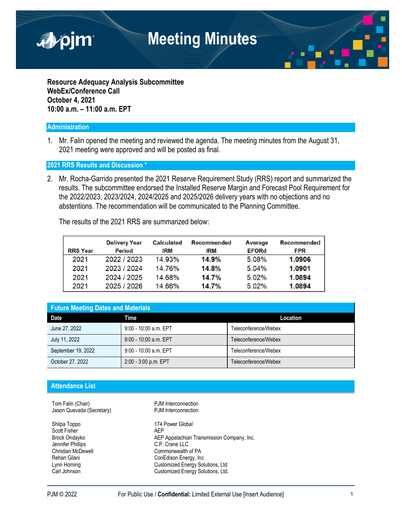

**Resource Adequacy Analysis Subcommittee WebEx/Conference Call October 4, 2021 10:00 a.m. – 11:00 a.m. EPT**

## **Administration**

1. Mr. Falin opened the meeting and reviewed the agenda. The meeting minutes from the August 31, 2021 meeting were approved and will be posted as final.

## **2021 RRS Results and Discussion \***

2. Mr. Rocha-Garrido presented the 2021 Reserve Requirement Study (RRS) report and summarized the results. The subcommittee endorsed the Installed Reserve Margin and Forecast Pool Requirement for the 2022/2023, 2023/2024, 2024/2025 and 2025/2026 delivery years with no objections and no abstentions. The recommendation will be communicated to the Planning Committee.

The results of the 2021 RRS are summarized below:

| <b>RRS Year</b> | <b>Delivery Year</b><br>Period | <b>Calculated</b><br>IRM | <b>Recommended</b><br><b>IRM</b> | Average<br><b>EFORd</b> | Recommended<br><b>FPR</b> |
|-----------------|--------------------------------|--------------------------|----------------------------------|-------------------------|---------------------------|
| 2021            | 2022 / 2023                    | 14.93%                   | 14.9%                            | 5.08%                   | 1.0906                    |
| 2021            | 2023 / 2024                    | 14.76%                   | 14.8%                            | 5.04%                   | 1.0901                    |
| 2021            | 2024 / 2025                    | 14.68%                   | 14.7%                            | 5.02%                   | 1.0894                    |
| 2021            | 2025 / 2026                    | 14.66%                   | 14.7%                            | $5.02\%$                | 1.0894                    |

| <b>Future Meeting Dates and Materials</b> |                         |                      |  |  |  |
|-------------------------------------------|-------------------------|----------------------|--|--|--|
| <b>Date</b>                               | Time                    | Location             |  |  |  |
| June 27, 2022                             | 9:00 - 10:00 a.m. EPT   | Teleconference/Webex |  |  |  |
| July 11, 2022                             | 9:00 - 10:00 a.m. EPT   | Teleconference/Webex |  |  |  |
| September 19, 2022                        | $9:00 - 10:00$ a.m. EPT | Teleconference/Webex |  |  |  |
| October 27, 2022                          | 2:00 - 3:00 p.m. EPT    | Teleconference/Webex |  |  |  |

## **Attendance List**

Tom Falin (Chair) Tom Falin (Chair) Jason Quevada (Secretary) PJM Interconnection

Shilpa Toppo 174 Power Global Scott Fisher AEP Jennifer Phillips C.P. Crane LLC

Brock Ondayko **AEP Appalachian Transmission Company, Inc.**<br> **C.P. Crane LLC** Christian McDewell Commonwealth of PA<br>
Rehan Gilani Commonwealth Confedison Energy, Inc ConEdison Energy, Inc. Lynn Horning Customized Energy Solutions, Ltd Carl Johnson Customized Energy Solutions, Ltd.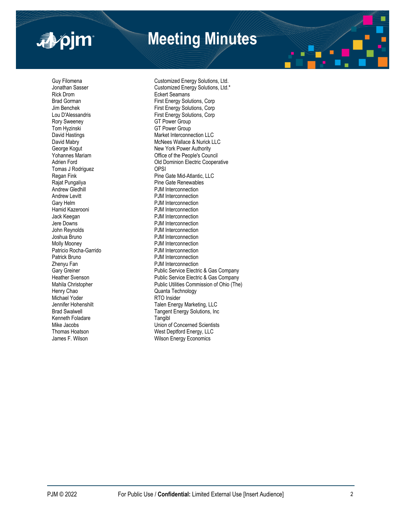

# **Meeting Minutes**

Rick Drom<br>Brad Gorman State Seaman Brad Gorman<br>First Fnergy Solu Rory Sweeney **GT Power Group** Tom Hyzinski GT Power Group Tomas J Rodriguez **OPSI** Andrew Levitt **PJM** Interconnection Gary Helm **Cary Helm PJM** Interconnection Hamid Kazerooni **PJM** Interconnection Jack Keegan **PJM Interconnection**<br>
Jere Downs **PJM** Interconnection John Reynolds **PJM** Interconnection Joshua Bruno PJM Interconnection Molly Mooney<br>
PJM Interconnection<br>
PJM Interconnection<br>
PJM Interconnection Patricio Rocha-Garrido<br>Patrick Bruno Patrick Bruno **PJM Interconnection**<br> **PJM Interconnection**<br>
PJM Interconnection **Zhenyu Fan State State State Connection**<br>
Public Service Electric<br>
Public Service Electri Henry Chao **Chao** Quanta Technology Michael Yoder **RTO Insider**<br> **Michael Yoder RTO Insider Consumer State**<br> **RTA** Talen Energy Kenneth Foladare **Tangiblog Contract Contract Contract Contract Contract Contract Contract Contract Contract Contract Contract Contract Contract Contract Contract Contract Contract Contract Contract Contract Contract Contr** 

Guy Filomena<br>
Jonathan Sasser<br>
Customized Energy Solutions, Ltd.<br>
Customized Energy Solutions, Ltd. Jonathan Sasser **Customized Energy Solutions, Ltd.\***<br>
Rick Drom First Energy Solutions, Corp Jim Benchek **First Energy Solutions, Corp** Lou D'Alessandris **First Energy Solutions, Corp** David Hastings Market Interconnection LLC David Mabry **McNees Wallace & Nurick LLC** George Kogut **New York Power Authority**<br>
Yohannes Mariam **New York People's Cour**<br>
Office of the People's Cour Yohannes Mariam **Victor Council**<br>Adrien Ford Company of Council Adrien Flectric Coopera Old Dominion Electric Cooperative Regan Fink Pine Gate Mid-Atlantic, LLC<br>
Rajat Pungaliya Pine Gate Renewables Rajat Pungaliya **Pine Gate Renewables**<br>
Andrew Gledhill **Andrew Constructs**<br>
P.IM Interconnection PJM Interconnection PJM Interconnection Gary Greiner **Cary Company**<br>
Heather Svenson **Public Service Electric & Gas Company**<br>
Public Service Electric & Gas Company Public Service Electric & Gas Company Mahila Christopher **Public Utilities Commission of Ohio** (The) Talen Energy Marketing, LLC Brad Swalwell **Tangent Energy Solutions**, Inc. Mike Jacobs<br>
Thomas Hoatson<br>
West Deptford Fnergy II C Thomas Hoatson **Matube 19 Thomas Hoatson**<br>
James F. Wilson **Matube 20 Thomas Wilson Energy Economics** Wilson Energy Economics